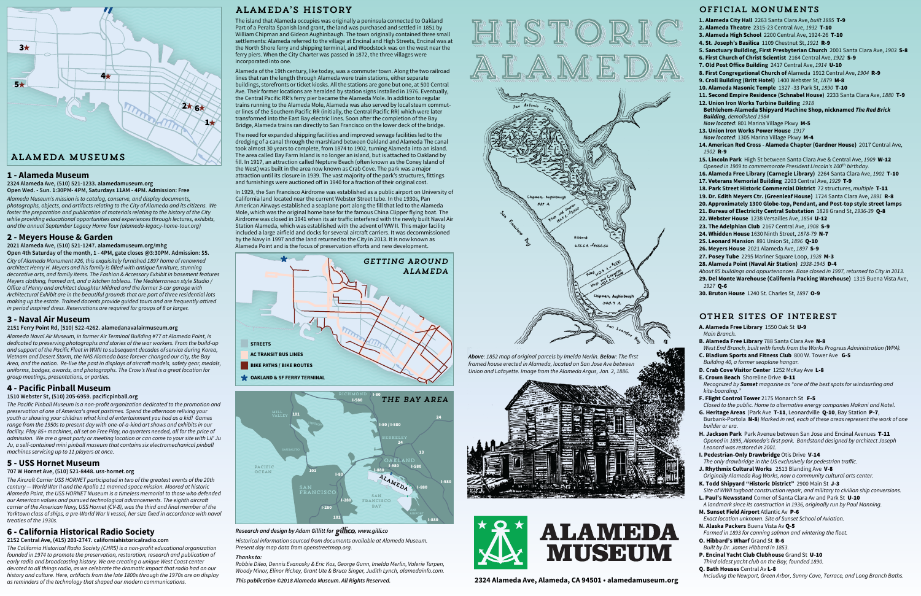## Official Monuments

- **1. Alameda City Hall** 2263 Santa Clara Ave, *built 1895* T-9
- **2. Alameda Theatre** 2315-23 Central Ave, *1932* T-10
- **3. Alameda High School** 2200 Central Ave, 1924-26 T-10
- **4. St. Joseph's Basilica** 1109 Chestnut St, *1921* R-9
- **5. Sanctuary Building, First Presbyterian Church** 2001 Santa Clara Ave, *1903* S-8
- **6. First Church of Christ Scientist** 2164 Central Ave, *1922* S-9
- 7. Old Post Office Building 2417 Central Ave, 1914 U-10
- **8. First Congregational Church of** Alameda 1912 Central Ave, *1904* R-9 **9. Croll Building (Britt Hotel)** 1400 Webster St, *1879* M-8
- **10. Alameda Masonic Temple** 1327 -33 Park St, *1890* T-10
- **11. Second Empire Residence (Schnabel House)** 2233 Santa Clara Ave, *1880* T-9
- **12. Union Iron Works Turbine Building** *1918* **Bethlehem-Alameda Shipyard Machine Shop, nicknamed** *The Red Brick Building, demolished 1984*
- *Now located:* 801 Marina Village Pkwy M-5
- **13. Union Iron Works Power House** *1917 Now located:* 1305 Marina Village Pkwy M-4
- **14. American Red Cross Alameda Chapter (Gardner House)** 2017 Central Ave, *1902* R-9
- **15. Lincoln Park** High St between Santa Clara Ave & Central Ave, *1909* W-12 *Opened in 1909 to commemorate President Lincoln's 100th birthday.*
- **16. Alameda Free Library (Carnegie Library)** 2264 Santa Clara Ave, *1902* T-10 **17. Veterans Memorial Building** 2203 Central Ave, *1929* T-9
- **18. Park Street Historic Commercial District** 72 structures, *multiple* T-11
- **19. Dr. Edith Meyers Ctr. (Greenleaf House)** 1724 Santa Clara Ave, *1891* R-8
- **20. Approximately 1300 Globe-top, Pendant, and Post-top style street lamps**
- **21. Bureau of Electricity Central Substation** 1828 Grand St, *1936-39* Q-8
- **22. Webster House** 1238 Versailles Ave, *1854* U-12
- **23. The Adelphian Club** 2167 Central Ave, *1908* S-9
- **24. Whidden House** 1630 Ninth Street, *1878-79* N-7
- **25. Leonard Mansion** 891 Union St, *1896* Q-10
- **26. Meyers House** 2021 Alameda Ave, *1897* S-9
- **27. Posey Tube** 2295 Mariner Square Loop, *1928* M-3
- **28. Alameda Point (Naval Air Station)** *1938-1945* D-4
- *About 85 buildings and appurtenances. Base closed in 1997, returned to City in 2013.* **29. Del Monte Warehouse (California Packing Warehouse)** 1315 Buena Vista Ave, *1927* Q-6
- **30. Bruton House** 1240 St. Charles St, *1897* O-9

# Other Sites of Interest

- **A. Alameda Free Library** 1550 Oak St U-9 *Main Branch.*
- **B. Alameda Free Library** 788 Santa Clara Ave N-8
- *West End Branch, built with funds from the Works Progress Administration (WPA).* **C. Bladium Sports and Fitness Club** 800 W. Tower Ave G-5
- *Building 40, a former seaplane hangar.*
- **D. Crab Cove Visitor Center** 1252 McKay Ave L-8
- **E. Crown Beach** Shoreline Drive 0-11 *Recognized by Sunset magazine as "one of the best spots for windsurfing and kite-boarding."*
- **F. Flight Control Tower** 2175 Monarch St F-5 *Closed to the public. Home to alternative energy companies Makani and Natel.*
- **G. Heritage Areas** (Park Ave T-11, Leonardville Q-10, Bay Station P-7, Burbank-Portola N-8) *Marked in red, each of these areas represent the work of one builder or era.*
- **H. Jackson Park** Park Avenue between San Jose and Encinal Avenues T-11 *Opened in 1895, Alameda's first park. Bandstand designed by architect Joseph Leonard was restored in 2001.*
- **I. Pedestrian-Only Drawbridge** Otis Drive V-14
- *The only drawbridge in the US exclusively for pedestrian traic.* **J. Rhythmix Cultural Works** 2513 Blanding Ave V-8
- *Originally Alameda Rug Works, now a community cultural arts center.*
- **K. Todd Shipyard "Historic District"** 2900 Main St J-3 *Site of WWII tugboat construction repair, and military to civilian ship conversions.*
- **L. Paul's Newsstand** Corner of Santa Clara Av and Park St U-10 *A landmark since its construction in 1936, originally run by Paul Manning.*
- **M. Sunset Field Airport** Atlantic Av P-6 *Exact location unknown. Site of Sunset School of Aviation.*
- **N. Alaska Packers** Buena Vista Av Q-5
- *Formed in 1893 for canning salmon and wintering the fleet.* **O. Hibbard's Wharf** Grand St R-6
- *Built by Dr. James Hibbard in 1853.*
- **P. Encinal Yacht Club Clubhouse** Grand St U-10
- *Third oldest yacht club on the Bay, founded 1890.*
- **Q. Bath Houses** Central Av L-8 *Including the Newport, Green Arbor, Sunny Cove, Terrace, and Long Branch Baths.*





*Historical information sourced from documents available at Alameda Museum. Present day map data from openstreetmap.org.* 

#### *Thanks to:*

*Robbie Dileo, Dennis Evanosky & Eric Kos, George Gunn, Imelda Merlin, Valerie Turpen, Woody Minor, Elinor Richey, Grant Ute & Bruce Singer, Judith Lynch, alamedainfo.com.*



## **Research and design by Adam Gillitt for gillico**, www.gilli.co

# Alameda's History

The island that Alameda occupies was originally a peninsula connected to Oakland Part of a Peralta Spanish land grant, the land was purchased and settled in 1851 by William Chipman and Gideon Aughinbaugh. The town originally contained three small settlements: Alameda referred to the village at Encinal and High Streets, Encinal was at the North Shore ferry and shipping terminal, and Woodstock was on the west near the ferry piers. When the City Charter was passed in 1872, the three villages were incorporated into one.

Alameda of the 19th century, like today, was a commuter town. Along the two railroad lines that ran the length through Alameda were train stations, either separate buildings, storefronts or ticket kiosks. All the stations are gone but one, at 500 Central Ave. Their former locations are heralded by station signs installed in 1976. Eventually, the Central Pacific RR's ferry pier became the Alameda Mole. In addition to regular trains running to the Alameda Mole, Alameda was also served by local steam commuter lines of the Southern Pacific RR (initially, the Central Pacific RR) which were later transformed into the East Bay electric lines. Soon after the completion of the Bay Bridge, Alameda trains ran directly to San Francisco on the lower deck of the bridge.

The need for expanded shipping facilities and improved sewage facilities led to the dredging of a canal through the marshland between Oakland and Alameda The canal took almost 30 years to complete, from 1874 to 1902, turning Alameda into an island. The area called Bay Farm Island is no longer an island, but is attached to Oakland by fill. In 1917, an attraction called Neptune Beach (often known as the Coney Island of the West) was built in the area now known as Crab Cove. The park was a major attraction until its closure in 1939. The vast majority of the park's structures, fittings and furnishings were auctioned off in 1940 for a fraction of their original cost.

In 1929, the San Francisco Airdrome was established as a public airport on University of California land located near the current Webster Street tube. In the 1930s, Pan American Airways established a seaplane port along the fill that led to the Alameda Mole, which was the original home base for the famous China Clipper flying boat. The Airdrome was closed in 1941 when its air traffic interfered with the newly built Naval Air Station Alameda, which was established with the advent of WW II. This major facility included a large airfield and docks for several aircraft carriers. It was decommissioned by the Navy in 1997 and the land returned to the City in 2013. It is now known as Alameda Point and is the focus of preservation efforts and new development.



#### 1 - **Alameda Museum**

**2324 Alameda Ave, (510) 521-1233. alamedamuseum.org Open Wed. - Sun. 1:30PM- 4PM, Saturdays 11AM - 4PM. Admission: Free**

*Alameda Museum's mission is to catalog, conserve, and display documents, photographs, objects, and artifacts relating to the City of Alameda and its citizens. We foster the preparation and publication of materials relating to the history of the City while providing educational opportunities and experiences through lectures, exhibits, and the annual September Legacy Home Tour (alameda-legacy-home-tour.org)*

## 2 - **Meyers House & Garden**

**2021 Alameda Ave, (510) 521-1247. alamedamuseum.org/mhg Open 4th Saturday of the month, 1 - 4PM, gate closes @3:30PM. Admission: \$5.**  *City of Alameda Monument #26, this exquisitely furnished 1897 home of renowned architect Henry H. Meyers and his family is filled with antique furniture, stunning decorative arts, and family items. The Fashion & Accessory Exhibit in basement features Meyers clothing, framed art, and a kitchen tableau. The Mediterranean style Studio / Oice of Henry and architect daughter Mildred and the former 3-car garage with Architectural Exhibit are in the beautiful grounds that are part of three residential lots making up the estate. Trained docents provide guided tours and are frequently attired in period inspired dress. Reservations are required for groups of 8 or larger.* 

## 3 - **Naval Air Museum**

#### **2151 Ferry Point Rd, (510) 522-4262. alamedanavalairmuseum.org**

*Alameda Naval Air Museum, in former Air Terminal Building #77 at Alameda Point, is dedicated to preserving photographs and stories of the war workers. From the build-up and support of the Pacific Fleet in WWII to subsequent decades of service during Korea, Vietnam and Desert Storm, the NAS Alameda base forever changed our city, the Bay Area, and the nation. Re-live the past in displays of aircra models, safety gear, medals, uniforms, badges, awards, and photographs. The Crow's Nest is a great location for group meetings, presentations, or parties.*



## 4 - **Pacific Pinball Museum**

#### **1510 Webster St, (510) 205-6959. pacificpinball.org**

*The Pacific Pinball Museum is a non-profit organization dedicated to the promotion and*  preservation of one of America's great pastimes. Spend the afternoon reliving your *youth or showing your children what kind of entertainment you had as a kid! Games range from the 1950s to present day with one-of-a-kind art shows and exhibits in our facility. Play 85+ machines, all set on Free Play, no quarters needed, all for the price of admission. We are a great party or meeting location or can come to your site with Lil' Ju Ju, a self-contained mini pinball museum that contains six electromechanical pinball machines servicing up to 11 players at once.*

## 5 - **USS Hornet Museum**

#### **707 W Hornet Ave, (510) 521-8448. uss-hornet.org**

*The Aircra Carrier USS HORNET participated in two of the greatest events of the 20th century — World War II and the Apollo 11 manned space mission. Moored at historic Alameda Point, the USS HORNET Museum is a timeless memorial to those who defended*  our American values and pursued technological advancements. The eighth aircraft *carrier of the American Navy, USS Hornet (CV-8), was the third and final member of the Yorktown class of ships, a pre-World War II vessel, her size fixed in accordance with naval treaties of the 1930s.*

#### 6 - **California Historical Radio Society 2152 Central Ave, (415) 203-2747. californiahistoricalradio.com**

*The California Historical Radio Society (CHRS) is a non-profit educational organization founded in 1974 to promote the preservation, restoration, research and publication of early radio and broadcasting history. We are creating a unique West Coast center devoted to all things radio, as we celebrate the dramatic impact that radio had on our history and culture. Here, artifacts from the late 1800s through the 1970s are on display as reminders of the technology that shaped our modern communications.*

*Above: 1852 map of original parcels by Imelda Merlin. Below: The first framed house erected in Alameda, located on San Jose Ave between Union and Lafayette. Image from the Alameda Argus, Jan. 2, 1886.*